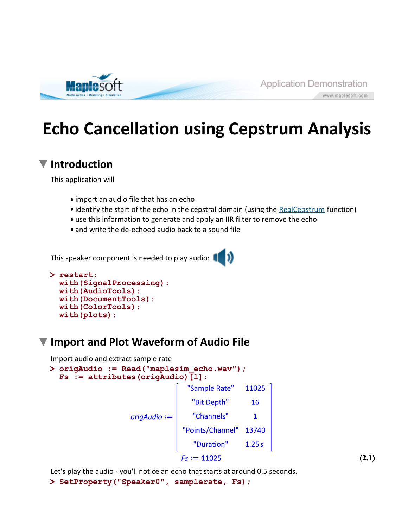

www.maplesoft.com

# **Echo Cancellation using Cepstrum Analysis**

### **Introduction**

This application will

- import an audio file that has an echo
- identify the start of the echo in the cepstral domain (using the RealCepstrum function)
- use this information to generate and apply an IIR filter to remove the echo
- and write the de-echoed audio back to a sound file

This speaker component is needed to play audio:

```
> 
restart:
 with(SignalProcessing):
 with(AudioTools):
 with(DocumentTools):
 with(ColorTools):
 with(plots):
```
## **Import and Plot Waveform of Audio File**

Import audio and extract sample rate

```
> 
origAudio := Read("maplesim_echo.wav");
  Fs := attributes(origAudio)[1];
                                   "Sample Rate"
                                                  11025
                                    "Bit Depth"
                                                   16
                                   "Channels"
                    origAudio :=
                                                    \mathbf{1}"Points/Channel" 13740
                                    "Duration"
                                                  1.25sFs := 11025
```
Let's play the audio - you'll notice an echo that starts at around 0.5 seconds.

**> SetProperty("Speaker0", samplerate, Fs);**

**(2.1)**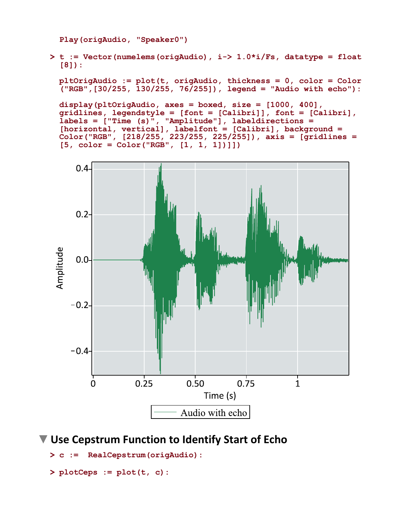**Play(origAudio, "Speaker0")**

**> t := Vector(numelems(origAudio), i-> 1.0\*i/Fs, datatype = float [8]):**

**pltOrigAudio := plot(t, origAudio, thickness = 0, color = Color ("RGB",[30/255, 130/255, 76/255]), legend = "Audio with echo"):**

**display(pltOrigAudio, axes = boxed, size = [1000, 400], gridlines, legendstyle = [font = [Calibri]], font = [Calibri], labels = ["Time (s)", "Amplitude"], labeldirections = [horizontal, vertical], labelfont = [Calibri], background = Color("RGB", [218/255, 223/255, 225/255]), axis = [gridlines = [5, color = Color("RGB", [1, 1, 1])]])**



**Use Cepstrum Function to Identify Start of Echo**

```
> 
c := RealCepstrum(origAudio):
```

```
> 
plotCeps := plot(t, c):
```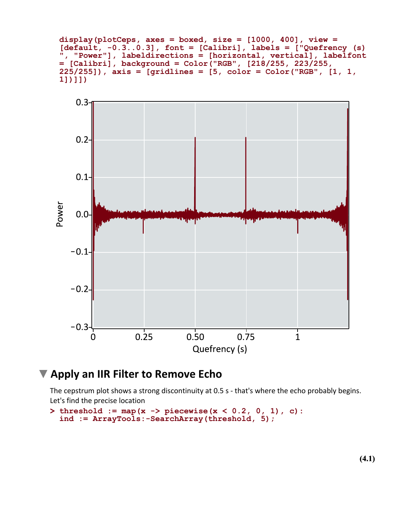**display(plotCeps, axes = boxed, size = [1000, 400], view = [default, -0.3..0.3], font = [Calibri], labels = ["Quefrency (s) ", "Power"], labeldirections = [horizontal, vertical], labelfont = [Calibri], background = Color("RGB", [218/255, 223/255, 225/255]), axis = [gridlines = [5, color = Color("RGB", [1, 1, 1])]])**



#### **Apply an IIR Filter to Remove Echo**

The cepstrum plot shows a strong discontinuity at 0.5 s - that's where the echo probably begins. Let's find the precise location

```
> 
threshold := map(x -> piecewise(x < 0.2, 0, 1), c):
 ind := ArrayTools:-SearchArray(threshold, 5);
```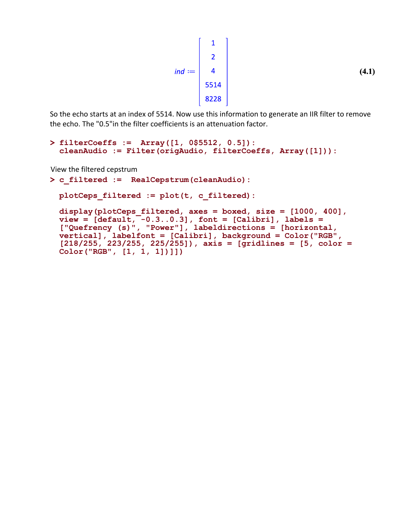$$
ind := \begin{vmatrix} 1 \\ 2 \\ 4 \\ 5514 \\ 8228 \end{vmatrix}
$$
 (4.1)

So the echo starts at an index of 5514. Now use this information to generate an IIR filter to remove the echo. The "0.5"in the filter coefficients is an attenuation factor.

```
> 
filterCoeffs := Array([1, 0$5512, 0.5]):
 cleanAudio := Filter(origAudio, filterCoeffs, Array([1])):
```
View the filtered cepstrum

```
> 
c_filtered := RealCepstrum(cleanAudio):
```

```
plotCeps_filtered := plot(t, c_filtered):
```

```
display(plotCeps_filtered, axes = boxed, size = [1000, 400], 
view = [default, -0.3..0.3], font = [Calibri], labels =["Quefrency (s)", "Power"], labeldirections = [horizontal, 
vertical], labelfont = [Calibri], background = Color("RGB", 
[218/255, 223/255, 225/255]), axis = [gridlines = [5, color = 
Color("RGB", [1, 1, 1])]])
```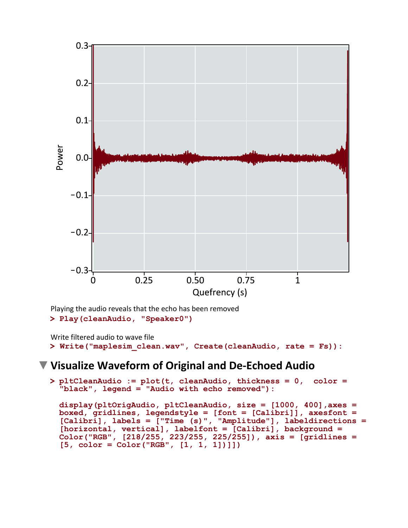

Playing the audio reveals that the echo has been removed

```
> 
Play(cleanAudio, "Speaker0")
```

```
> 
Write("maplesim_clean.wav", Create(cleanAudio, rate = Fs)):
Write filtered audio to wave file
```
#### **Visualize Waveform of Original and De-Echoed Audio**

```
> 
pltCleanAudio := plot(t, cleanAudio, thickness = 0, color = 
 "black", legend = "Audio with echo removed"):
```

```
display(pltOrigAudio, pltCleanAudio, size = [1000, 400],axes = 
boxed, gridlines, legendstyle = [font = [Calibri]], axesfont = 
[Calibri], labels = ["Time (s)", "Amplitude"], labeldirections =
[horizontal, vertical], labelfont = [Calibri], background = 
Color("RGB", [218/255, 223/255, 225/255]), axis = [gridlines = 
[5, color = Color("RGB", [1, 1, 1])]])
```